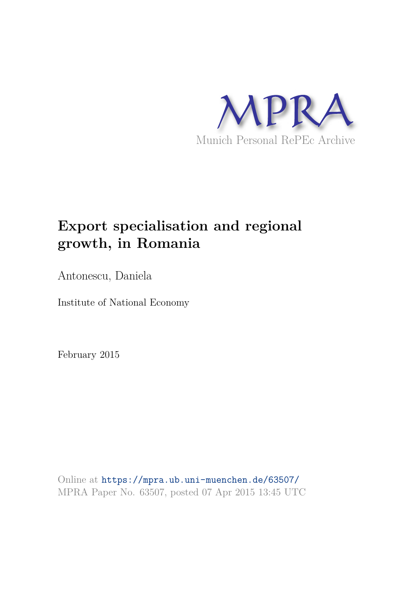

# **Export specialisation and regional growth, in Romania**

Antonescu, Daniela

Institute of National Economy

February 2015

Online at https://mpra.ub.uni-muenchen.de/63507/ MPRA Paper No. 63507, posted 07 Apr 2015 13:45 UTC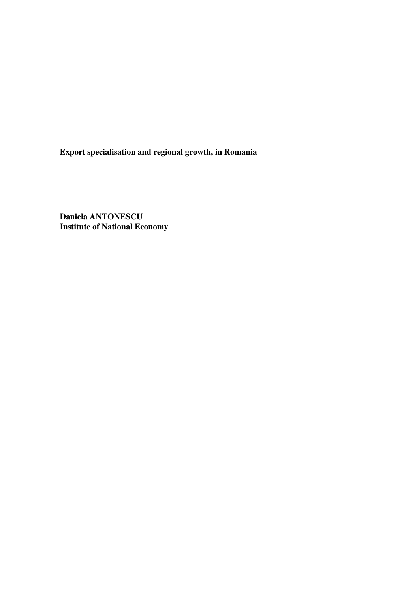**Export specialisation and regional growth, in Romania** 

**Daniela ANTONESCU Institute of National Economy**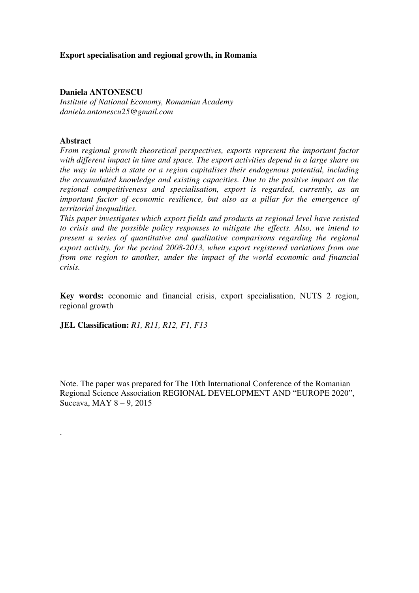# **Export specialisation and regional growth, in Romania**

## **Daniela ANTONESCU**

*Institute of National Economy, Romanian Academy daniela.antonescu25@gmail.com* 

## **Abstract**

.

*From regional growth theoretical perspectives, exports represent the important factor with different impact in time and space. The export activities depend in a large share on the way in which a state or a region capitalises their endogenous potential, including the accumulated knowledge and existing capacities. Due to the positive impact on the regional competitiveness and specialisation, export is regarded, currently, as an important factor of economic resilience, but also as a pillar for the emergence of territorial inequalities.* 

*This paper investigates which export fields and products at regional level have resisted to crisis and the possible policy responses to mitigate the effects. Also, we intend to present a series of quantitative and qualitative comparisons regarding the regional export activity, for the period 2008-2013, when export registered variations from one from one region to another, under the impact of the world economic and financial crisis.* 

**Key words:** economic and financial crisis, export specialisation, NUTS 2 region, regional growth

**JEL Classification:** *R1, R11, R12, F1, F13*

Note. The paper was prepared for The 10th International Conference of the Romanian Regional Science Association REGIONAL DEVELOPMENT AND "EUROPE 2020", Suceava, MAY 8 – 9, 2015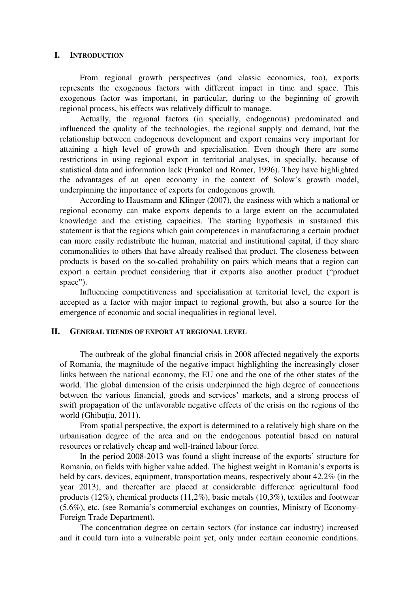#### **I. INTRODUCTION**

From regional growth perspectives (and classic economics, too), exports represents the exogenous factors with different impact in time and space. This exogenous factor was important, in particular, during to the beginning of growth regional process, his effects was relatively difficult to manage.

Actually, the regional factors (in specially, endogenous) predominated and influenced the quality of the technologies, the regional supply and demand, but the relationship between endogenous development and export remains very important for attaining a high level of growth and specialisation. Even though there are some restrictions in using regional export in territorial analyses, in specially, because of statistical data and information lack (Frankel and Romer, 1996). They have highlighted the advantages of an open economy in the context of Solow's growth model, underpinning the importance of exports for endogenous growth.

According to Hausmann and Klinger (2007), the easiness with which a national or regional economy can make exports depends to a large extent on the accumulated knowledge and the existing capacities. The starting hypothesis in sustained this statement is that the regions which gain competences in manufacturing a certain product can more easily redistribute the human, material and institutional capital, if they share commonalities to others that have already realised that product. The closeness between products is based on the so-called probability on pairs which means that a region can export a certain product considering that it exports also another product ("product space").

Influencing competitiveness and specialisation at territorial level, the export is accepted as a factor with major impact to regional growth, but also a source for the emergence of economic and social inequalities in regional level.

# **II. GENERAL TRENDS OF EXPORT AT REGIONAL LEVEL**

The outbreak of the global financial crisis in 2008 affected negatively the exports of Romania, the magnitude of the negative impact highlighting the increasingly closer links between the national economy, the EU one and the one of the other states of the world. The global dimension of the crisis underpinned the high degree of connections between the various financial, goods and services' markets, and a strong process of swift propagation of the unfavorable negative effects of the crisis on the regions of the world (Ghibuțiu, 2011).

From spatial perspective, the export is determined to a relatively high share on the urbanisation degree of the area and on the endogenous potential based on natural resources or relatively cheap and well-trained labour force.

In the period 2008-2013 was found a slight increase of the exports' structure for Romania, on fields with higher value added. The highest weight in Romania's exports is held by cars, devices, equipment, transportation means, respectively about 42.2% (in the year 2013), and thereafter are placed at considerable difference agricultural food products (12%), chemical products (11,2%), basic metals (10,3%), textiles and footwear (5,6%), etc. (see Romania's commercial exchanges on counties, Ministry of Economy-Foreign Trade Department).

The concentration degree on certain sectors (for instance car industry) increased and it could turn into a vulnerable point yet, only under certain economic conditions.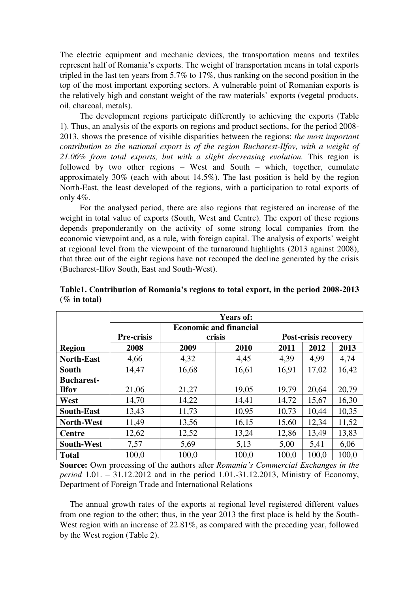The electric equipment and mechanic devices, the transportation means and textiles represent half of Romania's exports. The weight of transportation means in total exports tripled in the last ten years from 5.7% to 17%, thus ranking on the second position in the top of the most important exporting sectors. A vulnerable point of Romanian exports is the relatively high and constant weight of the raw materials' exports (vegetal products, oil, charcoal, metals).

The development regions participate differently to achieving the exports (Table 1). Thus, an analysis of the exports on regions and product sections, for the period 2008- 2013, shows the presence of visible disparities between the regions: *the most important contribution to the national export is of the region Bucharest-Ilfov, with a weight of 21.06% from total exports, but with a slight decreasing evolution.* This region is followed by two other regions – West and South – which, together, cumulate approximately 30% (each with about 14.5%). The last position is held by the region North-East, the least developed of the regions, with a participation to total exports of only 4%.

For the analysed period, there are also regions that registered an increase of the weight in total value of exports (South, West and Centre). The export of these regions depends preponderantly on the activity of some strong local companies from the economic viewpoint and, as a rule, with foreign capital. The analysis of exports' weight at regional level from the viewpoint of the turnaround highlights (2013 against 2008), that three out of the eight regions have not recouped the decline generated by the crisis (Bucharest-Ilfov South, East and South-West).

|                   | <b>Years of:</b>  |                               |                                       |       |       |       |  |
|-------------------|-------------------|-------------------------------|---------------------------------------|-------|-------|-------|--|
|                   |                   | <b>Economic and financial</b> |                                       |       |       |       |  |
|                   | <b>Pre-crisis</b> |                               | <b>Post-crisis recovery</b><br>crisis |       |       |       |  |
| <b>Region</b>     | 2008              | 2009                          | 2010                                  | 2011  | 2012  | 2013  |  |
| <b>North-East</b> | 4,66              | 4,32                          | 4,45                                  | 4,39  | 4,99  | 4,74  |  |
| South             | 14,47             | 16,68                         | 16,61                                 | 16,91 | 17,02 | 16,42 |  |
| <b>Bucharest-</b> |                   |                               |                                       |       |       |       |  |
| <b>Ilfov</b>      | 21,06             | 21,27                         | 19,05                                 | 19,79 | 20,64 | 20,79 |  |
| West              | 14,70             | 14,22                         | 14,41                                 | 14,72 | 15,67 | 16,30 |  |
| <b>South-East</b> | 13,43             | 11,73                         | 10,95                                 | 10,73 | 10,44 | 10,35 |  |
| <b>North-West</b> | 11,49             | 13,56                         | 16,15                                 | 15,60 | 12,34 | 11,52 |  |
| <b>Centre</b>     | 12,62             | 12,52                         | 13,24                                 | 12,86 | 13,49 | 13,83 |  |
| <b>South-West</b> | 7,57              | 5,69                          | 5,13                                  | 5,00  | 5,41  | 6,06  |  |
| <b>Total</b>      | 100,0             | 100,0                         | 100,0                                 | 100,0 | 100,0 | 100,0 |  |

**Table1. Contribution of Romania's regions to total export, in the period 2008-2013 (% in total)** 

**Source:** Own processing of the authors after *Romania's Commercial Exchanges in the period* 1.01. – 31.12.2012 and in the period 1.01.-31.12.2013, Ministry of Economy, Department of Foreign Trade and International Relations

The annual growth rates of the exports at regional level registered different values from one region to the other; thus, in the year 2013 the first place is held by the South-West region with an increase of 22.81%, as compared with the preceding year, followed by the West region (Table 2).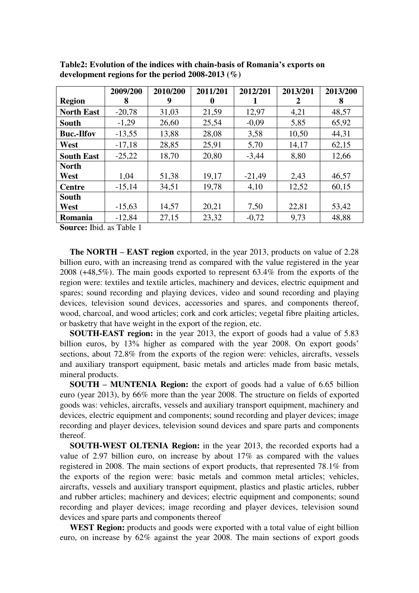|                   | 2009/200 | 2010/200 | 2011/201 | 2012/201 | 2013/201 | 2013/200 |
|-------------------|----------|----------|----------|----------|----------|----------|
| <b>Region</b>     | 8        | 9        | 0        |          | 2        | 8        |
| <b>North East</b> | $-20,78$ | 31,03    | 21,59    | 12,97    | 4,21     | 48,57    |
| <b>South</b>      | $-1,29$  | 26,60    | 25,54    | $-0,09$  | 5,85     | 65,92    |
| <b>Buc.-Ilfov</b> | $-13,55$ | 13,88    | 28,08    | 3,58     | 10,50    | 44,31    |
| West              | $-17,18$ | 28,85    | 25,91    | 5,70     | 14,17    | 62,15    |
| <b>South East</b> | $-25,22$ | 18,70    | 20,80    | $-3,44$  | 8,80     | 12,66    |
| <b>North</b>      |          |          |          |          |          |          |
| West              | 1,04     | 51,38    | 19,17    | $-21,49$ | 2,43     | 46,57    |
| <b>Centre</b>     | $-15,14$ | 34,51    | 19,78    | 4,10     | 12,52    | 60,15    |
| <b>South</b>      |          |          |          |          |          |          |
| West              | $-15,63$ | 14,57    | 20,21    | 7,50     | 22,81    | 53,42    |
| Romania           | $-12,84$ | 27,15    | 23,32    | $-0,72$  | 9,73     | 48,88    |

**Table2: Evolution of the indices with chain-basis of Romania's exports on development regions for the period 2008-2013 (%)** 

**Source:** Ibid. as Table 1

**The NORTH – EAST region** exported, in the year 2013, products on value of 2.28 billion euro, with an increasing trend as compared with the value registered in the year 2008 (+48,5%). The main goods exported to represent 63.4% from the exports of the region were: textiles and textile articles, machinery and devices, electric equipment and spares; sound recording and playing devices, video and sound recording and playing devices, television sound devices, accessories and spares, and components thereof, wood, charcoal, and wood articles; cork and cork articles; vegetal fibre plaiting articles, or basketry that have weight in the export of the region, etc.

**SOUTH-EAST region:** in the year 2013, the export of goods had a value of 5.83 billion euros, by 13% higher as compared with the year 2008. On export goods' sections, about 72.8% from the exports of the region were: vehicles, aircrafts, vessels and auxiliary transport equipment, basic metals and articles made from basic metals, mineral products.

**SOUTH – MUNTENIA Region:** the export of goods had a value of 6.65 billion euro (year 2013), by 66% more than the year 2008. The structure on fields of exported goods was: vehicles, aircrafts, vessels and auxiliary transport equipment, machinery and devices, electric equipment and components; sound recording and player devices; image recording and player devices, television sound devices and spare parts and components thereof.

**SOUTH-WEST OLTENIA Region:** in the year 2013, the recorded exports had a value of 2.97 billion euro, on increase by about 17% as compared with the values registered in 2008. The main sections of export products, that represented 78.1% from the exports of the region were: basic metals and common metal articles; vehicles, aircrafts, vessels and auxiliary transport equipment, plastics and plastic articles, rubber and rubber articles; machinery and devices; electric equipment and components; sound recording and player devices; image recording and player devices, television sound devices and spare parts and components thereof

WEST Region: products and goods were exported with a total value of eight billion euro, on increase by 62% against the year 2008. The main sections of export goods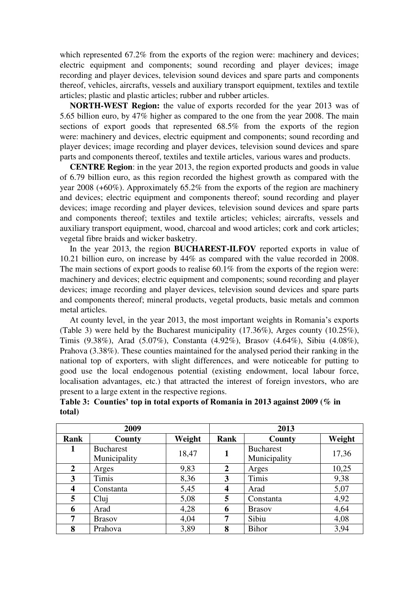which represented 67.2% from the exports of the region were: machinery and devices; electric equipment and components; sound recording and player devices; image recording and player devices, television sound devices and spare parts and components thereof, vehicles, aircrafts, vessels and auxiliary transport equipment, textiles and textile articles; plastic and plastic articles; rubber and rubber articles.

**NORTH-WEST Region:** the value of exports recorded for the year 2013 was of 5.65 billion euro, by 47% higher as compared to the one from the year 2008. The main sections of export goods that represented 68.5% from the exports of the region were: machinery and devices, electric equipment and components; sound recording and player devices; image recording and player devices, television sound devices and spare parts and components thereof, textiles and textile articles, various wares and products.

**CENTRE Region**: in the year 2013, the region exported products and goods in value of 6.79 billion euro, as this region recorded the highest growth as compared with the year 2008 (+60%). Approximately 65.2% from the exports of the region are machinery and devices; electric equipment and components thereof; sound recording and player devices; image recording and player devices, television sound devices and spare parts and components thereof; textiles and textile articles; vehicles; aircrafts, vessels and auxiliary transport equipment, wood, charcoal and wood articles; cork and cork articles; vegetal fibre braids and wicker basketry.

In the year 2013, the region **BUCHAREST-ILFOV** reported exports in value of 10.21 billion euro, on increase by 44% as compared with the value recorded in 2008. The main sections of export goods to realise 60.1% from the exports of the region were: machinery and devices; electric equipment and components; sound recording and player devices; image recording and player devices, television sound devices and spare parts and components thereof; mineral products, vegetal products, basic metals and common metal articles.

At county level, in the year 2013, the most important weights in Romania's exports (Table 3) were held by the Bucharest municipality (17.36%), Arges county (10.25%), Timis (9.38%), Arad (5.07%), Constanta (4.92%), Brasov (4.64%), Sibiu (4.08%), Prahova (3.38%). These counties maintained for the analysed period their ranking in the national top of exporters, with slight differences, and were noticeable for putting to good use the local endogenous potential (existing endowment, local labour force, localisation advantages, etc.) that attracted the interest of foreign investors, who are present to a large extent in the respective regions.

|        |  | Table 3: Counties' top in total exports of Romania in 2013 against 2009 ( $\%$ in |  |
|--------|--|-----------------------------------------------------------------------------------|--|
| total) |  |                                                                                   |  |

|                | 2009                             |        | 2013           |                                  |        |
|----------------|----------------------------------|--------|----------------|----------------------------------|--------|
| Rank           | County                           | Weight | Rank           | County                           | Weight |
|                | <b>Bucharest</b><br>Municipality | 18,47  |                | <b>Bucharest</b><br>Municipality | 17,36  |
| $\overline{2}$ | Arges                            | 9,83   | $\overline{2}$ | Arges                            | 10,25  |
| 3              | Timis                            | 8,36   | 3              | Timis                            | 9,38   |
| 4              | Constanta                        | 5,45   | 4              | Arad                             | 5,07   |
| 5              | Clui                             | 5,08   | 5              | Constanta                        | 4,92   |
| 6              | Arad                             | 4,28   | 6              | <b>Brasov</b>                    | 4,64   |
| 7              | <b>Brasov</b>                    | 4,04   | 7              | Sibiu                            | 4,08   |
| 8              | Prahova                          | 3,89   | 8              | <b>Bihor</b>                     | 3,94   |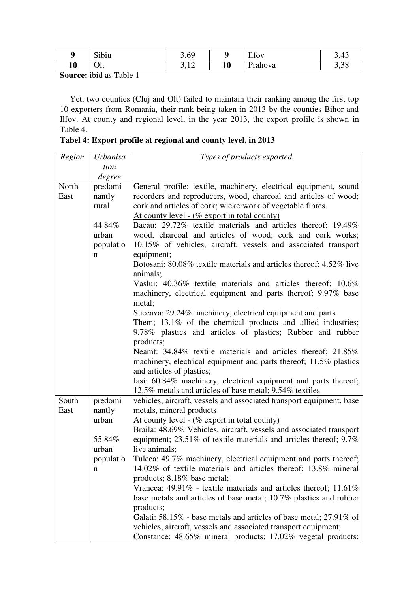| ŋ  | $\sim$<br>S1D1U | 60<br>$\cup$           |           | TTC<br>$\mu$ tov | 3,43 |
|----|-----------------|------------------------|-----------|------------------|------|
| 10 | Olt             | 1 <sub>2</sub><br>J,14 | 1 A<br>πv | Prahova          | 3,38 |

**Source:** ibid as Table 1

Yet, two counties (Cluj and Olt) failed to maintain their ranking among the first top 10 exporters from Romania, their rank being taken in 2013 by the counties Bihor and Ilfov. At county and regional level, in the year 2013, the export profile is shown in Table 4.

**Tabel 4: Export profile at regional and county level, in 2013** 

| Region | <b>Urbanisa</b> | Types of products exported                                                                                                              |
|--------|-----------------|-----------------------------------------------------------------------------------------------------------------------------------------|
|        | tion            |                                                                                                                                         |
|        | degree          |                                                                                                                                         |
| North  | predomi         | General profile: textile, machinery, electrical equipment, sound                                                                        |
| East   | nantly          | recorders and reproducers, wood, charcoal and articles of wood;                                                                         |
|        | rural           | cork and articles of cork; wickerwork of vegetable fibres.                                                                              |
|        |                 | At county level - (% export in total county)                                                                                            |
|        | 44.84%          | Bacau: 29.72% textile materials and articles thereof; 19.49%                                                                            |
|        | urban           | wood, charcoal and articles of wood; cork and cork works;                                                                               |
|        | populatio       | 10.15% of vehicles, aircraft, vessels and associated transport                                                                          |
|        | n               | equipment;                                                                                                                              |
|        |                 | Botosani: 80.08% textile materials and articles thereof; 4.52% live<br>animals;                                                         |
|        |                 | Vaslui: 40.36% textile materials and articles thereof; 10.6%<br>machinery, electrical equipment and parts thereof; 9.97% base<br>metal; |
|        |                 | Suceava: 29.24% machinery, electrical equipment and parts                                                                               |
|        |                 | Them; 13.1% of the chemical products and allied industries;                                                                             |
|        |                 | 9.78% plastics and articles of plastics; Rubber and rubber                                                                              |
|        |                 | products;                                                                                                                               |
|        |                 | Neamt: 34.84% textile materials and articles thereof; 21.85%                                                                            |
|        |                 | machinery, electrical equipment and parts thereof; 11.5% plastics                                                                       |
|        |                 | and articles of plastics;                                                                                                               |
|        |                 | Iasi: 60.84% machinery, electrical equipment and parts thereof;                                                                         |
|        |                 | 12.5% metals and articles of base metal; 9.54% textiles.                                                                                |
| South  | predomi         | vehicles, aircraft, vessels and associated transport equipment, base                                                                    |
| East   | nantly          | metals, mineral products                                                                                                                |
|        | urban           | At county level - ( $\%$ export in total county)                                                                                        |
|        |                 | Braila: 48.69% Vehicles, aircraft, vessels and associated transport                                                                     |
|        | 55.84%          | equipment; 23.51% of textile materials and articles thereof; 9.7%                                                                       |
|        | urban           | live animals;                                                                                                                           |
|        | populatio       | Tulcea: 49.7% machinery, electrical equipment and parts thereof;                                                                        |
|        | n               | 14.02% of textile materials and articles thereof; 13.8% mineral                                                                         |
|        |                 | products; 8.18% base metal;                                                                                                             |
|        |                 | Vrancea: $49.91\%$ - textile materials and articles thereof; $11.61\%$                                                                  |
|        |                 | base metals and articles of base metal; 10.7% plastics and rubber                                                                       |
|        |                 | products;                                                                                                                               |
|        |                 | Galati: 58.15% - base metals and articles of base metal; 27.91% of                                                                      |
|        |                 | vehicles, aircraft, vessels and associated transport equipment;                                                                         |
|        |                 | Constance: 48.65% mineral products; 17.02% vegetal products;                                                                            |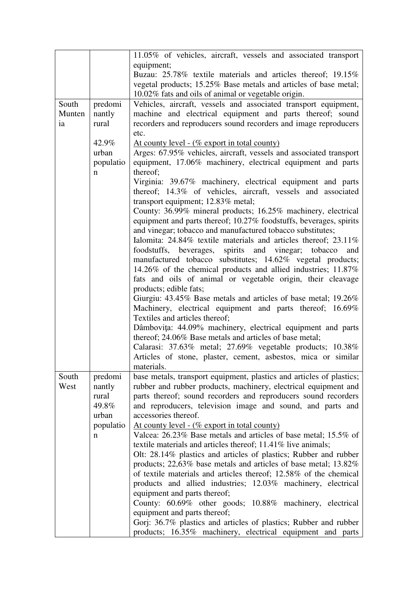|        |             | 11.05% of vehicles, aircraft, vessels and associated transport       |
|--------|-------------|----------------------------------------------------------------------|
|        |             | equipment;                                                           |
|        |             | Buzau: 25.78% textile materials and articles thereof; 19.15%         |
|        |             | vegetal products; 15.25% Base metals and articles of base metal;     |
|        |             | 10.02% fats and oils of animal or vegetable origin.                  |
| South  | predomi     | Vehicles, aircraft, vessels and associated transport equipment,      |
| Munten | nantly      | machine and electrical equipment and parts thereof; sound            |
| ia     | rural       | recorders and reproducers sound recorders and image reproducers      |
|        |             | etc.                                                                 |
|        | 42.9%       | <u>At county level - (% export in total county)</u>                  |
|        | urban       | Arges: 67.95% vehicles, aircraft, vessels and associated transport   |
|        | populatio   | equipment, 17.06% machinery, electrical equipment and parts          |
|        | $\mathbf n$ | thereof;                                                             |
|        |             | Virginia: 39.67% machinery, electrical equipment and parts           |
|        |             | thereof; 14.3% of vehicles, aircraft, vessels and associated         |
|        |             | transport equipment; 12.83% metal;                                   |
|        |             | County: 36.99% mineral products; 16.25% machinery, electrical        |
|        |             | equipment and parts thereof; 10.27% foodstuffs, beverages, spirits   |
|        |             | and vinegar; tobacco and manufactured tobacco substitutes;           |
|        |             | Ialomita: 24.84% textile materials and articles thereof; 23.11%      |
|        |             | foodstuffs, beverages, spirits and vinegar; tobacco<br>and           |
|        |             | manufactured tobacco substitutes; 14.62% vegetal products;           |
|        |             | 14.26% of the chemical products and allied industries; 11.87%        |
|        |             | fats and oils of animal or vegetable origin, their cleavage          |
|        |             |                                                                      |
|        |             | products; edible fats;                                               |
|        |             | Giurgiu: 43.45% Base metals and articles of base metal; 19.26%       |
|        |             | Machinery, electrical equipment and parts thereof; 16.69%            |
|        |             | Textiles and articles thereof;                                       |
|        |             | Dâmbovița: 44.09% machinery, electrical equipment and parts          |
|        |             | thereof; 24.06% Base metals and articles of base metal;              |
|        |             | Calarasi: 37.63% metal; 27.69% vegetable products; 10.38%            |
|        |             | Articles of stone, plaster, cement, asbestos, mica or similar        |
|        |             | materials.                                                           |
| South  | predomi     | base metals, transport equipment, plastics and articles of plastics; |
| West   | nantly      | rubber and rubber products, machinery, electrical equipment and      |
|        | rural       | parts thereof; sound recorders and reproducers sound recorders       |
|        | 49.8%       | and reproducers, television image and sound, and parts and           |
|        | urban       | accessories thereof.                                                 |
|        | populatio   | <u>At county level - (% export in total county)</u>                  |
|        | n           | Valcea: 26.23% Base metals and articles of base metal; 15.5% of      |
|        |             | textile materials and articles thereof; 11.41% live animals;         |
|        |             | Olt: 28.14% plastics and articles of plastics; Rubber and rubber     |
|        |             | products; 22,63% base metals and articles of base metal; 13.82%      |
|        |             | of textile materials and articles thereof; 12.58% of the chemical    |
|        |             | products and allied industries; 12.03% machinery, electrical         |
|        |             | equipment and parts thereof;                                         |
|        |             | County: 60.69% other goods; 10.88% machinery, electrical             |
|        |             | equipment and parts thereof;                                         |
|        |             | Gorj: 36.7% plastics and articles of plastics; Rubber and rubber     |
|        |             | products; 16.35% machinery, electrical equipment and parts           |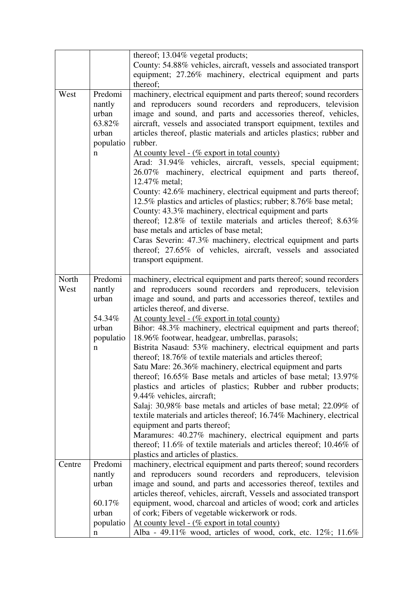|               |                                                                 | thereof; 13.04% vegetal products;                                                                                                                                                                                                                                                                                                                                                                                                                                                                                                                                                                                                                                                                                                                                                                                                                                                                                                                                                                                                                                                                                                              |
|---------------|-----------------------------------------------------------------|------------------------------------------------------------------------------------------------------------------------------------------------------------------------------------------------------------------------------------------------------------------------------------------------------------------------------------------------------------------------------------------------------------------------------------------------------------------------------------------------------------------------------------------------------------------------------------------------------------------------------------------------------------------------------------------------------------------------------------------------------------------------------------------------------------------------------------------------------------------------------------------------------------------------------------------------------------------------------------------------------------------------------------------------------------------------------------------------------------------------------------------------|
|               |                                                                 | County: 54.88% vehicles, aircraft, vessels and associated transport                                                                                                                                                                                                                                                                                                                                                                                                                                                                                                                                                                                                                                                                                                                                                                                                                                                                                                                                                                                                                                                                            |
|               |                                                                 | equipment; 27.26% machinery, electrical equipment and parts                                                                                                                                                                                                                                                                                                                                                                                                                                                                                                                                                                                                                                                                                                                                                                                                                                                                                                                                                                                                                                                                                    |
|               |                                                                 | thereof;                                                                                                                                                                                                                                                                                                                                                                                                                                                                                                                                                                                                                                                                                                                                                                                                                                                                                                                                                                                                                                                                                                                                       |
| West          | Predomi<br>nantly<br>urban<br>63.82%<br>urban<br>populatio<br>n | machinery, electrical equipment and parts thereof; sound recorders<br>and reproducers sound recorders and reproducers, television<br>image and sound, and parts and accessories thereof, vehicles,<br>aircraft, vessels and associated transport equipment, textiles and<br>articles thereof, plastic materials and articles plastics; rubber and<br>rubber.<br><u>At county level - (% export in total county)</u><br>Arad: 31.94% vehicles, aircraft, vessels, special equipment;<br>26.07% machinery, electrical equipment and parts thereof,<br>12.47% metal;<br>County: 42.6% machinery, electrical equipment and parts thereof;<br>12.5% plastics and articles of plastics; rubber; 8.76% base metal;<br>County: 43.3% machinery, electrical equipment and parts<br>thereof; 12.8% of textile materials and articles thereof; 8.63%<br>base metals and articles of base metal;<br>Caras Severin: 47.3% machinery, electrical equipment and parts<br>thereof; 27.65% of vehicles, aircraft, vessels and associated<br>transport equipment.                                                                                                |
| North<br>West | Predomi<br>nantly<br>urban<br>54.34%<br>urban<br>populatio<br>n | machinery, electrical equipment and parts thereof; sound recorders<br>and reproducers sound recorders and reproducers, television<br>image and sound, and parts and accessories thereof, textiles and<br>articles thereof, and diverse.<br><u>At county level - (% export in total county)</u><br>Bihor: 48.3% machinery, electrical equipment and parts thereof;<br>18.96% footwear, headgear, umbrellas, parasols;<br>Bistrita Nasaud: 53% machinery, electrical equipment and parts<br>thereof; 18.76% of textile materials and articles thereof;<br>Satu Mare: 26.36% machinery, electrical equipment and parts<br>thereof; 16.65% Base metals and articles of base metal; $13.97\%$<br>plastics and articles of plastics; Rubber and rubber products;<br>9.44% vehicles, aircraft;<br>Salaj: 30,98% base metals and articles of base metal; 22.09% of<br>textile materials and articles thereof; 16.74% Machinery, electrical<br>equipment and parts thereof;<br>Maramures: 40.27% machinery, electrical equipment and parts<br>thereof; 11.6% of textile materials and articles thereof; 10.46% of<br>plastics and articles of plastics. |
| Centre        | Predomi                                                         | machinery, electrical equipment and parts thereof; sound recorders                                                                                                                                                                                                                                                                                                                                                                                                                                                                                                                                                                                                                                                                                                                                                                                                                                                                                                                                                                                                                                                                             |
|               | nantly                                                          | and reproducers sound recorders and reproducers, television                                                                                                                                                                                                                                                                                                                                                                                                                                                                                                                                                                                                                                                                                                                                                                                                                                                                                                                                                                                                                                                                                    |
|               | urban                                                           | image and sound, and parts and accessories thereof, textiles and                                                                                                                                                                                                                                                                                                                                                                                                                                                                                                                                                                                                                                                                                                                                                                                                                                                                                                                                                                                                                                                                               |
|               |                                                                 | articles thereof, vehicles, aircraft, Vessels and associated transport                                                                                                                                                                                                                                                                                                                                                                                                                                                                                                                                                                                                                                                                                                                                                                                                                                                                                                                                                                                                                                                                         |
|               | 60.17%<br>urban                                                 | equipment, wood, charcoal and articles of wood; cork and articles<br>of cork; Fibers of vegetable wickerwork or rods.                                                                                                                                                                                                                                                                                                                                                                                                                                                                                                                                                                                                                                                                                                                                                                                                                                                                                                                                                                                                                          |
|               | populatio                                                       | <u>At county level - (% export in total county)</u>                                                                                                                                                                                                                                                                                                                                                                                                                                                                                                                                                                                                                                                                                                                                                                                                                                                                                                                                                                                                                                                                                            |
|               | n                                                               | Alba - 49.11% wood, articles of wood, cork, etc. $12\%$ ; $11.6\%$                                                                                                                                                                                                                                                                                                                                                                                                                                                                                                                                                                                                                                                                                                                                                                                                                                                                                                                                                                                                                                                                             |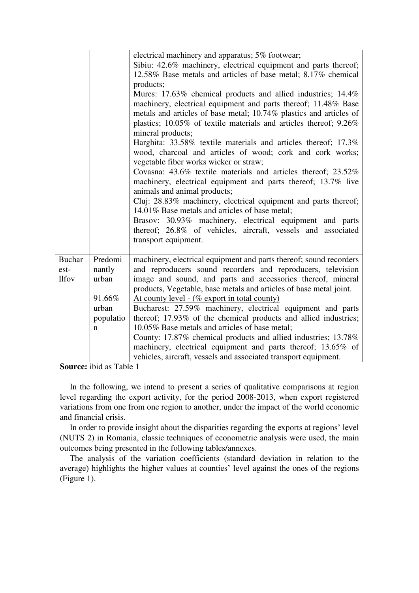|                      |                 | electrical machinery and apparatus; 5% footwear;<br>Sibiu: 42.6% machinery, electrical equipment and parts thereof;<br>12.58% Base metals and articles of base metal; 8.17% chemical<br>products;<br>Mures: 17.63% chemical products and allied industries; 14.4%<br>machinery, electrical equipment and parts thereof; 11.48% Base<br>metals and articles of base metal; 10.74% plastics and articles of<br>plastics; 10.05% of textile materials and articles thereof; 9.26%<br>mineral products; |
|----------------------|-----------------|-----------------------------------------------------------------------------------------------------------------------------------------------------------------------------------------------------------------------------------------------------------------------------------------------------------------------------------------------------------------------------------------------------------------------------------------------------------------------------------------------------|
|                      |                 | Harghita: 33.58% textile materials and articles thereof; 17.3%<br>wood, charcoal and articles of wood; cork and cork works;<br>vegetable fiber works wicker or straw;                                                                                                                                                                                                                                                                                                                               |
|                      |                 | Covasna: 43.6% textile materials and articles thereof; 23.52%<br>machinery, electrical equipment and parts thereof; 13.7% live<br>animals and animal products;                                                                                                                                                                                                                                                                                                                                      |
|                      |                 | Cluj: 28.83% machinery, electrical equipment and parts thereof;<br>14.01% Base metals and articles of base metal;                                                                                                                                                                                                                                                                                                                                                                                   |
|                      |                 | Brasov: 30.93% machinery, electrical equipment and parts<br>thereof; 26.8% of vehicles, aircraft, vessels and associated<br>transport equipment.                                                                                                                                                                                                                                                                                                                                                    |
| <b>Buchar</b>        | Predomi         | machinery, electrical equipment and parts thereof; sound recorders                                                                                                                                                                                                                                                                                                                                                                                                                                  |
| est-<br><b>Ilfov</b> | nantly<br>urban | and reproducers sound recorders and reproducers, television<br>image and sound, and parts and accessories thereof, mineral                                                                                                                                                                                                                                                                                                                                                                          |
|                      |                 | products, Vegetable, base metals and articles of base metal joint.                                                                                                                                                                                                                                                                                                                                                                                                                                  |
|                      | 91.66%          | <u>At county level - (% export in total county)</u>                                                                                                                                                                                                                                                                                                                                                                                                                                                 |
|                      | urban           | Bucharest: 27.59% machinery, electrical equipment and parts                                                                                                                                                                                                                                                                                                                                                                                                                                         |
|                      | populatio       | thereof; 17.93% of the chemical products and allied industries;                                                                                                                                                                                                                                                                                                                                                                                                                                     |
|                      | n               | 10.05% Base metals and articles of base metal;                                                                                                                                                                                                                                                                                                                                                                                                                                                      |
|                      |                 | County: 17.87% chemical products and allied industries; 13.78%<br>machinery, electrical equipment and parts thereof; 13.65% of                                                                                                                                                                                                                                                                                                                                                                      |
|                      |                 | vehicles, aircraft, vessels and associated transport equipment.                                                                                                                                                                                                                                                                                                                                                                                                                                     |

**Source:** ibid as Table 1

In the following, we intend to present a series of qualitative comparisons at region level regarding the export activity, for the period 2008-2013, when export registered variations from one from one region to another, under the impact of the world economic and financial crisis.

In order to provide insight about the disparities regarding the exports at regions' level (NUTS 2) in Romania, classic techniques of econometric analysis were used, the main outcomes being presented in the following tables/annexes.

The analysis of the variation coefficients (standard deviation in relation to the average) highlights the higher values at counties' level against the ones of the regions (Figure 1).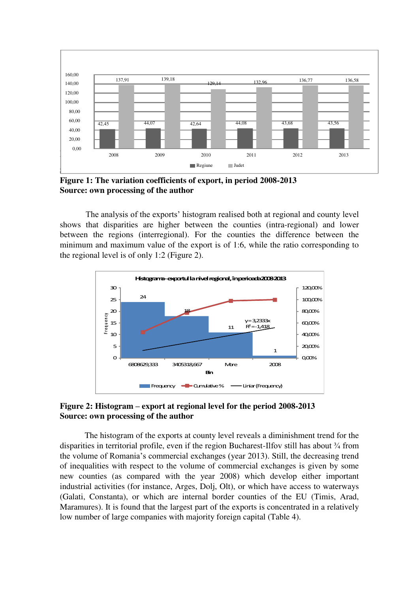

**Figure 1: The variation coefficients of export, in period 2008-2013 Source: own processing of the author** 

The analysis of the exports' histogram realised both at regional and county level shows that disparities are higher between the counties (intra-regional) and lower between the regions (interregional). For the counties the difference between the minimum and maximum value of the export is of 1:6, while the ratio corresponding to the regional level is of only 1:2 (Figure 2).



# **Figure 2: Histogram – export at regional level for the period 2008-2013 Source: own processing of the author**

The histogram of the exports at county level reveals a diminishment trend for the disparities in territorial profile, even if the region Bucharest-Ilfov still has about ¾ from the volume of Romania's commercial exchanges (year 2013). Still, the decreasing trend of inequalities with respect to the volume of commercial exchanges is given by some new counties (as compared with the year 2008) which develop either important industrial activities (for instance, Arges, Dolj, Olt), or which have access to waterways (Galati, Constanta), or which are internal border counties of the EU (Timis, Arad, Maramures). It is found that the largest part of the exports is concentrated in a relatively low number of large companies with majority foreign capital (Table 4).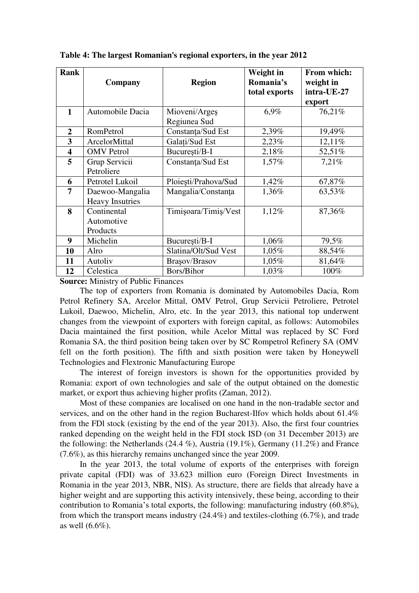| <b>Rank</b>             | Company                                   | <b>Region</b>                 | Weight in<br>Romania's<br>total exports | From which:<br>weight in<br>intra-UE-27<br>export |
|-------------------------|-------------------------------------------|-------------------------------|-----------------------------------------|---------------------------------------------------|
| $\mathbf{1}$            | Automobile Dacia                          | Mioveni/Argeș<br>Regiunea Sud | 6,9%                                    | 76,21%                                            |
| $\overline{2}$          | RomPetrol                                 | Constanța/Sud Est             | 2,39%                                   | 19,49%                                            |
| 3                       | ArcelorMittal                             | Galați/Sud Est                | 2,23%                                   | 12,11%                                            |
| $\overline{\mathbf{4}}$ | <b>OMV</b> Petrol                         | București/B-I                 | 2,18%                                   | 52,51%                                            |
| 5                       | Grup Servicii<br>Petroliere               | Constanța/Sud Est             | 1,57%                                   | 7,21%                                             |
| 6                       | Petrotel Lukoil                           | Ploiesti/Prahova/Sud          | 1,42%                                   | 67,87%                                            |
| 7                       | Daewoo-Mangalia<br><b>Heavy Insutries</b> | Mangalia/Constanța            | 1,36%                                   | 63,53%                                            |
| 8                       | Continental<br>Automotive<br>Products     | Timișoara/Timiș/Vest          | 1,12%                                   | 87,36%                                            |
| 9                       | Michelin                                  | București/B-I                 | 1,06%                                   | 79,5%                                             |
| 10                      | Alro                                      | Slatina/Olt/Sud Vest          | 1,05%                                   | 88,54%                                            |
| 11                      | Autoliv                                   | Brașov/Brasov                 | 1,05%                                   | 81,64%                                            |
| 12                      | Celestica                                 | Bors/Bihor                    | 1,03%                                   | 100%                                              |

**Table 4: The largest Romanian's regional exporters, in the year 2012** 

**Source:** Ministry of Public Finances

The top of exporters from Romania is dominated by Automobiles Dacia, Rom Petrol Refinery SA, Arcelor Mittal, OMV Petrol, Grup Servicii Petroliere, Petrotel Lukoil, Daewoo, Michelin, Alro, etc. In the year 2013, this national top underwent changes from the viewpoint of exporters with foreign capital, as follows: Automobiles Dacia maintained the first position, while Acelor Mittal was replaced by SC Ford Romania SA, the third position being taken over by SC Rompetrol Refinery SA (OMV fell on the forth position). The fifth and sixth position were taken by Honeywell Technologies and Flextronic Manufacturing Europe

The interest of foreign investors is shown for the opportunities provided by Romania: export of own technologies and sale of the output obtained on the domestic market, or export thus achieving higher profits (Zaman, 2012).

Most of these companies are localised on one hand in the non-tradable sector and services, and on the other hand in the region Bucharest-Ilfov which holds about 61.4% from the FDl stock (existing by the end of the year 2013). Also, the first four countries ranked depending on the weight held in the FDI stock ISD (on 31 December 2013) are the following: the Netherlands (24.4 %), Austria (19.1%), Germany (11.2%) and France (7.6%), as this hierarchy remains unchanged since the year 2009.

In the year 2013, the total volume of exports of the enterprises with foreign private capital (FDI) was of 33.623 million euro (Foreign Direct Investments in Romania in the year 2013, NBR, NIS). As structure, there are fields that already have a higher weight and are supporting this activity intensively, these being, according to their contribution to Romania's total exports, the following: manufacturing industry (60.8%), from which the transport means industry (24.4%) and textiles-clothing (6.7%), and trade as well (6.6%).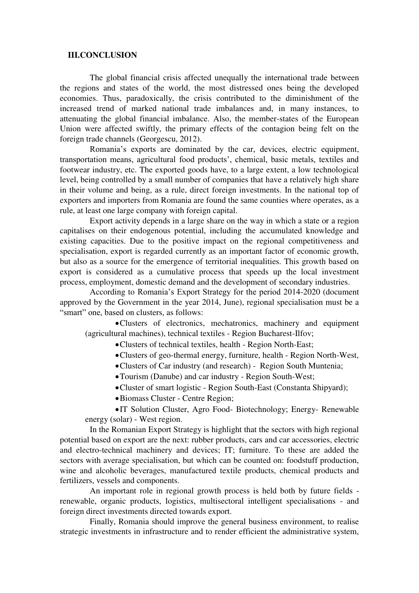## **III.CONCLUSION**

The global financial crisis affected unequally the international trade between the regions and states of the world, the most distressed ones being the developed economies. Thus, paradoxically, the crisis contributed to the diminishment of the increased trend of marked national trade imbalances and, in many instances, to attenuating the global financial imbalance. Also, the member-states of the European Union were affected swiftly, the primary effects of the contagion being felt on the foreign trade channels (Georgescu, 2012).

Romania's exports are dominated by the car, devices, electric equipment, transportation means, agricultural food products', chemical, basic metals, textiles and footwear industry, etc. The exported goods have, to a large extent, a low technological level, being controlled by a small number of companies that have a relatively high share in their volume and being, as a rule, direct foreign investments. In the national top of exporters and importers from Romania are found the same counties where operates, as a rule, at least one large company with foreign capital.

Export activity depends in a large share on the way in which a state or a region capitalises on their endogenous potential, including the accumulated knowledge and existing capacities. Due to the positive impact on the regional competitiveness and specialisation, export is regarded currently as an important factor of economic growth, but also as a source for the emergence of territorial inequalities. This growth based on export is considered as a cumulative process that speeds up the local investment process, employment, domestic demand and the development of secondary industries.

According to Romania's Export Strategy for the period 2014-2020 (document approved by the Government in the year 2014, June), regional specialisation must be a "smart" one, based on clusters, as follows:

Clusters of electronics, mechatronics, machinery and equipment (agricultural machines), technical textiles - Region Bucharest-Ilfov;

- Clusters of technical textiles, health Region North-East;
- Clusters of geo-thermal energy, furniture, health Region North-West,
- Clusters of Car industry (and research) Region South Muntenia;
- Tourism (Danube) and car industry Region South-West;
- Cluster of smart logistic Region South-East (Constanta Shipyard);
- Biomass Cluster Centre Region;

IT Solution Cluster, Agro Food- Biotechnology; Energy- Renewable energy (solar) - West region.

In the Romanian Export Strategy is highlight that the sectors with high regional potential based on export are the next: rubber products, cars and car accessories, electric and electro-technical machinery and devices; IT; furniture. To these are added the sectors with average specialisation, but which can be counted on: foodstuff production, wine and alcoholic beverages, manufactured textile products, chemical products and fertilizers, vessels and components.

An important role in regional growth process is held both by future fields renewable, organic products, logistics, multisectoral intelligent specialisations - and foreign direct investments directed towards export.

Finally, Romania should improve the general business environment, to realise strategic investments in infrastructure and to render efficient the administrative system,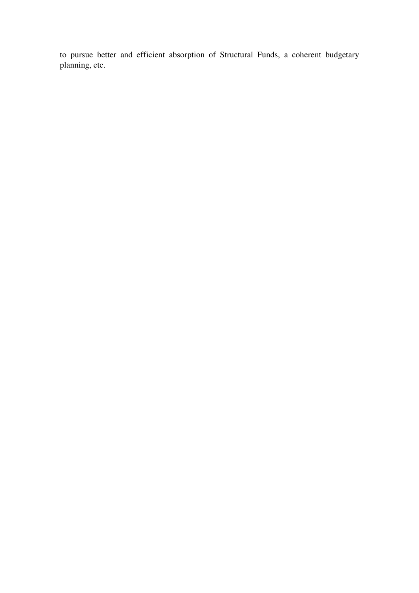to pursue better and efficient absorption of Structural Funds, a coherent budgetary planning, etc.